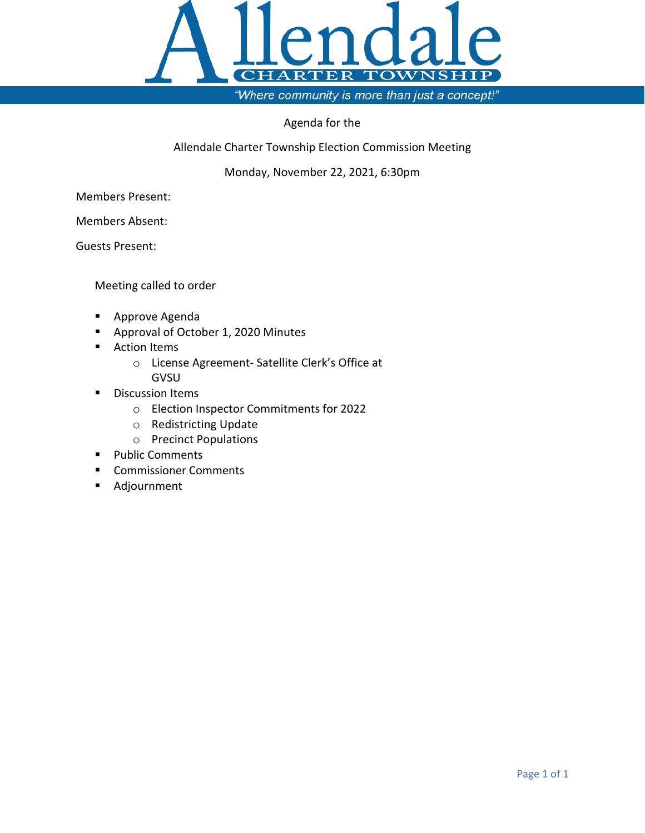

"Where community is more than just a concept!"

#### Agenda for the

Allendale Charter Township Election Commission Meeting

### Monday, November 22, 2021, 6:30pm

Members Present:

Members Absent:

Guests Present:

Meeting called to order

- **Approve Agenda**
- **Approval of October 1, 2020 Minutes**
- **Action Items** 
	- o License Agreement- Satellite Clerk's Office at GVSU
- **Discussion Items** 
	- o Election Inspector Commitments for 2022
	- o Redistricting Update
	- o Precinct Populations
- **Public Comments**
- **EXECOMMISSIONER Comments**
- Adjournment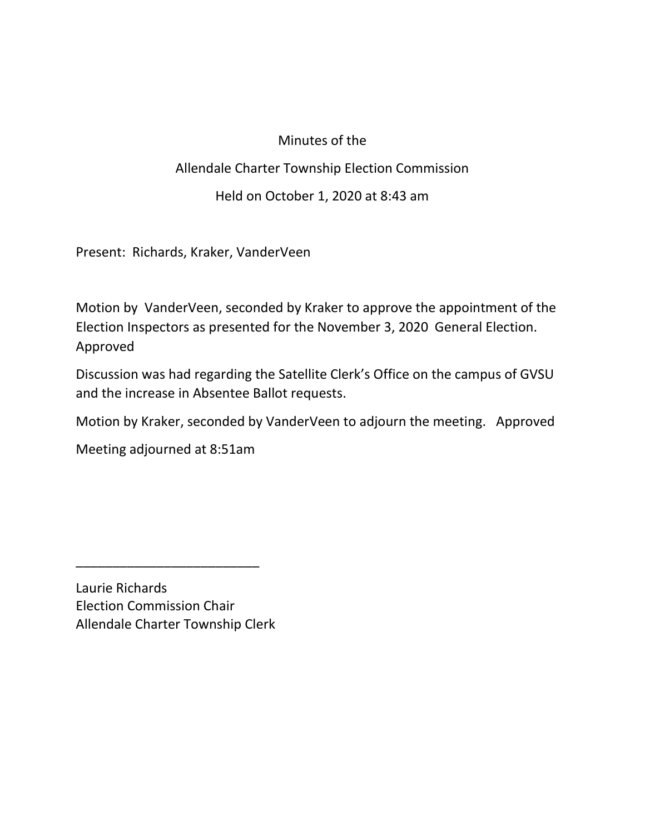# Minutes of the

# Allendale Charter Township Election Commission

# Held on October 1, 2020 at 8:43 am

Present: Richards, Kraker, VanderVeen

Motion by VanderVeen, seconded by Kraker to approve the appointment of the Election Inspectors as presented for the November 3, 2020 General Election. Approved

Discussion was had regarding the Satellite Clerk's Office on the campus of GVSU and the increase in Absentee Ballot requests.

Motion by Kraker, seconded by VanderVeen to adjourn the meeting. Approved

Meeting adjourned at 8:51am

Laurie Richards Election Commission Chair Allendale Charter Township Clerk

\_\_\_\_\_\_\_\_\_\_\_\_\_\_\_\_\_\_\_\_\_\_\_\_\_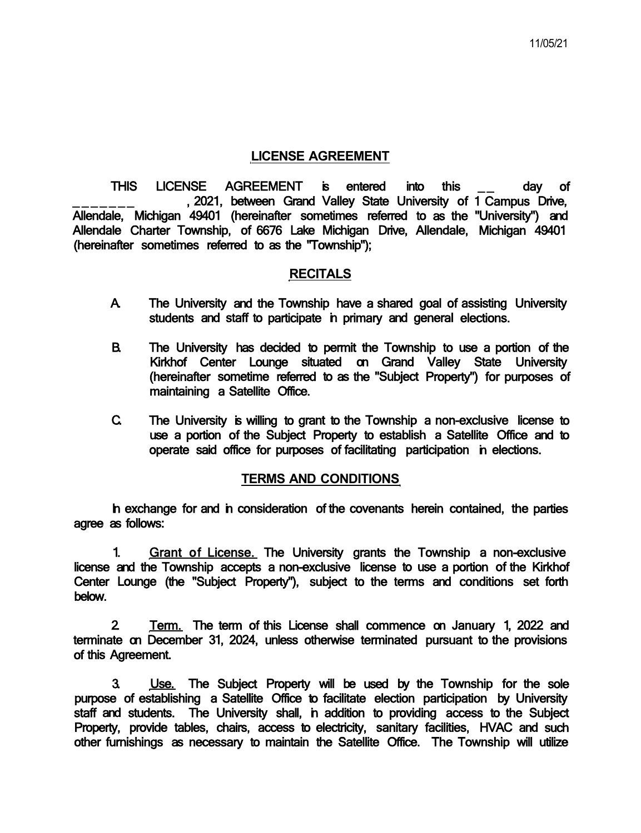### **LICENSE AGREEMENT**

THIS LICENSE AGREEMENT is entered into this \_\_ day of \_\_\_\_\_\_\_ , 2021, between Grand Valley State University of 1 Campus Drive, Allendale, Michigan 49401 (hereinafter sometimes referred to as the "University") and Allendale Charter Township, of 6676 Lake Michigan Drive, Allendale, Michigan 49401 (hereinafter sometimes referred to as the "Township");

#### **RECITALS**

- A. The University and the Township have a shared goal of assisting University students and staff to participate in primary and general elections.
- B. The University has decided to permit the Township to use a portion of the Kirkhof Center Lounge situated on Grand Valley State University (hereinafter sometime referred to as the "Subject Property") for purposes of maintaining a Satellite Office.
- C. The University is willing to grant to the Township a non-exclusive license to use a portion of the Subject Property to establish a Satellite Office and to operate said office for purposes of facilitating participation in elections.

### **TERMS AND CONDITIONS**

In exchange for and in consideration of the covenants herein contained, the parties agree as follows:

1. Grant of License. The University grants the Township a non-exclusive license and the Township accepts a non-exclusive license to use a portion of the Kirkhof Center Lounge (the "Subject Property"), subject to the terms and conditions set forth below.

2 Term. The term of this License shall commence on January 1, 2022 and terminate on December 31, 2024, unless otherwise terminated pursuant to the provisions of this Agreement.

3. Use. The Subject Property will be used by the Township for the sole purpose of establishing a Satellite Office to facilitate election participation by University staff and students. The University shall, in addition to providing access to the Subject Property, provide tables, chairs, access to electricity, sanitary facilities, HVAC and such other furnishings as necessary to maintain the Satellite Office. The Township will utilize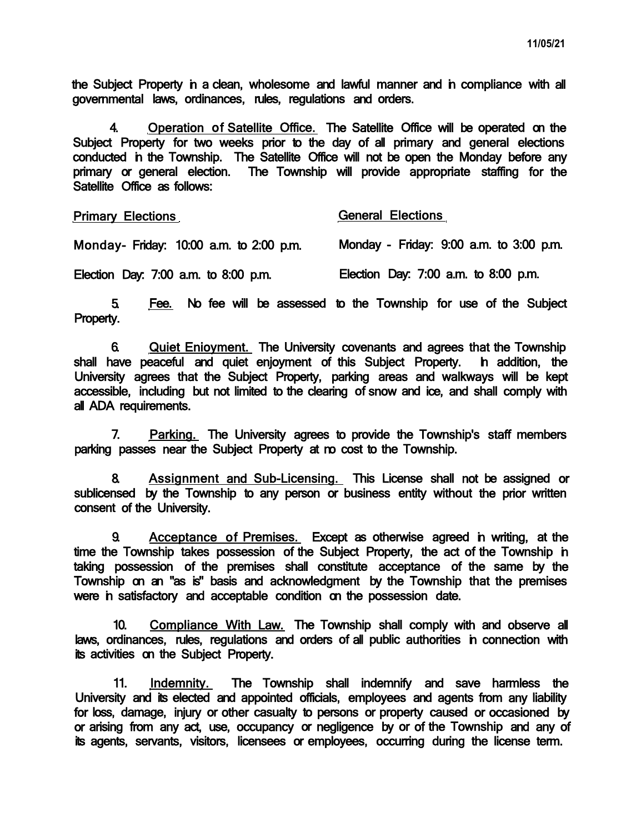the Subject Property in a clean, wholesome and lawful manner and in compliance with all governmental laws, ordinances, rules, regulations and orders.

4. Operation of Satellite Office. The Satellite Office will be operated on the Subject Property for two weeks prior to the day of all primary and general elections conducted in the Township. The Satellite Office will not be open the Monday before any primary or general election. The Township will provide appropriate staffing for the Satellite Office as follows:

Primary Elections

#### General Elections

Monday- Friday: 10:00 a.m. to 2:00 p.m. Monday - Friday: 9:00 a.m. to 3:00 p.m.

Election Day: 7:00 a.m. to 8:00 p.m. Election Day: 7:00 a.m. to 8:00 p.m.

5. Fee. No fee will be assessed to the Township for use of the Subject Property.

6. Quiet Enioyment. The University covenants and agrees that the Township shall have peaceful and quiet enjoyment of this Subject Property. In addition, the University agrees that the Subject Property, parking areas and walkways will be kept accessible, including but not limited to the clearing of snow and ice, and shall comply with all ADA requirements.

7. Parking. The University agrees to provide the Township's staff members parking passes near the Subject Property at no cost to the Township.

8. Assignment and Sub-Licensing. This License shall not be assigned or sublicensed by the Township to any person or business entity without the prior written consent of the University.

9. Acceptance of Premises. Except as otherwise agreed in writing, at the time the Township takes possession of the Subject Property, the act of the Township in taking possession of the premises shall constitute acceptance of the same by the Township on an "as is" basis and acknowledgment by the Township that the premises were in satisfactory and acceptable condition on the possession date.

10. Compliance With Law. The Township shall comply with and observe all laws, ordinances, rules, regulations and orders of all public authorities in connection with its activities on the Subject Property.

11. Indemnity. The Township shall indemnify and save harmless the University and its elected and appointed officials, employees and agents from any liability for loss, damage, injury or other casualty to persons or property caused or occasioned by or arising from any act, use, occupancy or negligence by or of the Township and any of its agents, servants, visitors, licensees or employees, occurring during the license term.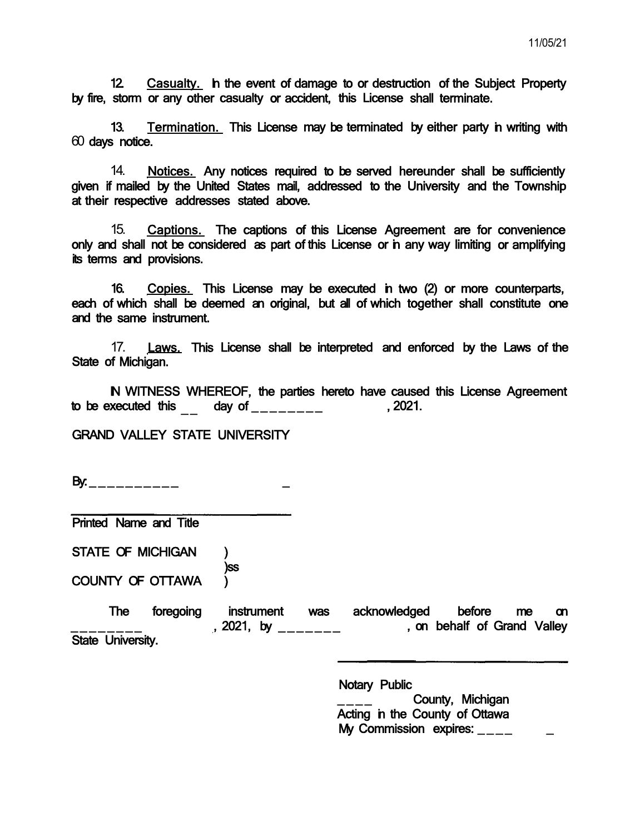12. Casualty. In the event of damage to or destruction of the Subject Property by fire, storm or any other casualty or accident, this License shall terminate.

13. Termination. This License may be terminated by either party in writing with 60 days notice.

14. Notices. Any notices required to be served hereunder shall be sufficiently given if mailed by the United States mail, addressed to the University and the Township at their respective addresses stated above.

15. Captions. The captions of this License Agreement are for convenience only and shall not be considered as part of this License or in any way limiting or amplifying its terms and provisions.

16. Copies. This License may be executed in two (2) or more counterparts, each of which shall be deemed an original, but all of which together shall constitute one and the same instrument.

17. Laws. This License shall be interpreted and enforced by the Laws of the State of Michigan.

IN WITNESS WHEREOF, the parties hereto have caused this License Agreement to be executed this  $\qquad \qquad$  day of  $\qquad \qquad$   $\qquad$   $\qquad$  , 2021.

GRAND VALLEY STATE UNIVERSITY

By: \_\_\_\_\_\_\_\_\_\_\_\_

Printed Name and Title

STATE OF MICHIGAN

)ss COUNTY OF OTTAWA )

The foregoing instrument was acknowledged before me on , 2021, by  $\frac{1}{2}$  , on behalf of Grand Valley State University.

Notary Public

County, Michigan Acting in the County of Ottawa My Commission expires:  $\frac{1}{2}$